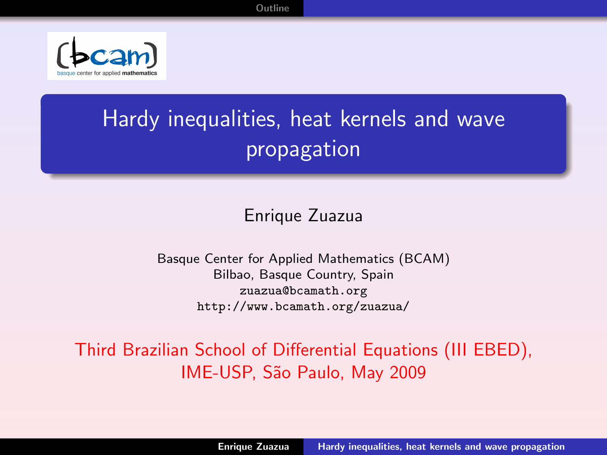[Outline](#page-2-0)



# Hardy inequalities, heat kernels and wave propagation

### <span id="page-0-0"></span>Enrique Zuazua

Basque Center for Applied Mathematics (BCAM) Bilbao, Basque Country, Spain zuazua@bcamath.org http://www.bcamath.org/zuazua/

Third Brazilian School of Differential Equations (III EBED), IME-USP, S˜ao Paulo, May 2009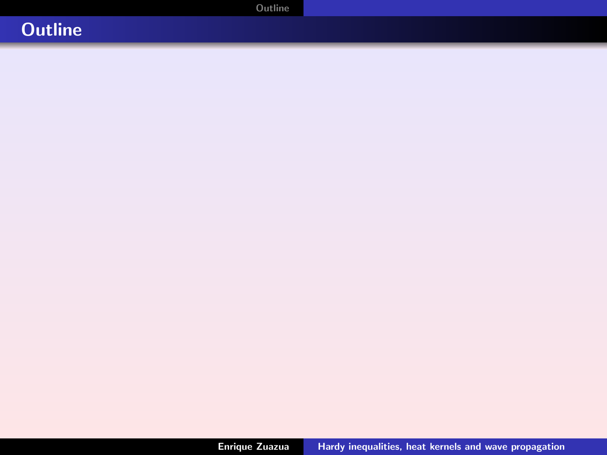[Outline](#page-2-0)

# **Outline**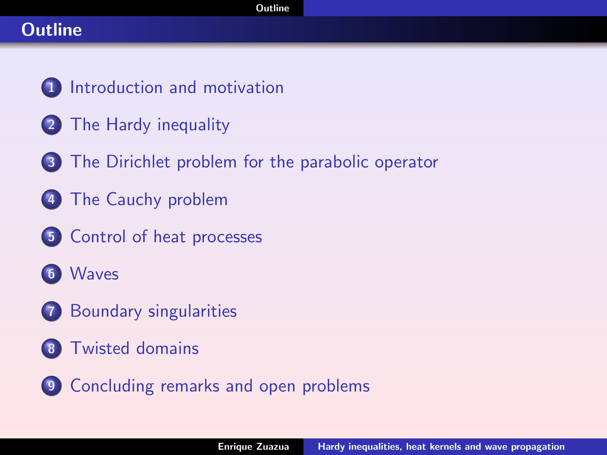# **Outline**

- [Introduction and motivation](#page-3-0)
- [The Hardy inequality](#page-11-0)
- [The Dirichlet problem for the parabolic operator](#page-15-0)
- [The Cauchy problem](#page-16-0)
- [Control of heat processes](#page-18-0)
- [Waves](#page-28-0)
- [Boundary singularities](#page-31-0)
- [Twisted domains](#page-32-0)
- <span id="page-2-0"></span>[Concluding remarks and open problems](#page-35-0)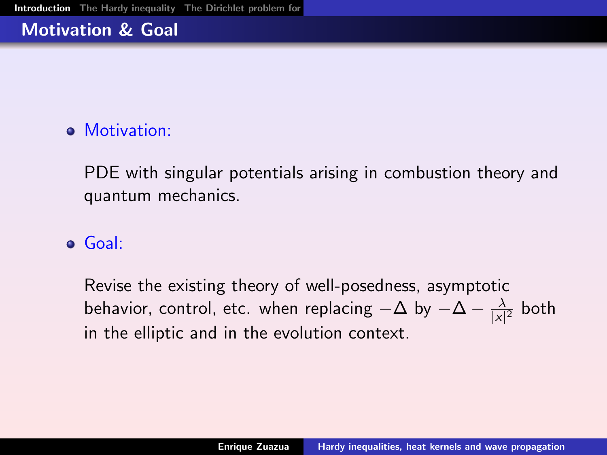# Motivation & Goal

# **a** Motivation:

PDE with singular potentials arising in combustion theory and quantum mechanics.

# Goal:

<span id="page-3-0"></span>Revise the existing theory of well-posedness, asymptotic behavior, control, etc. when replacing  $-\Delta$  by  $-\Delta - \frac{\lambda}{|\mathbf{x}|}$  $\frac{\lambda}{|x|^2}$  both in the elliptic and in the evolution context.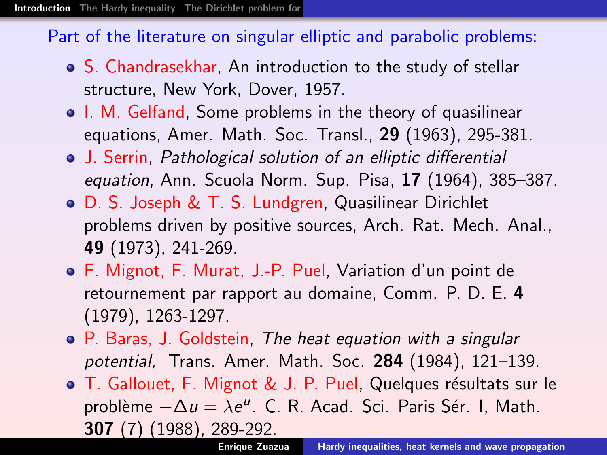#### Part of the literature on singular elliptic and parabolic problems:

- S. Chandrasekhar, An introduction to the study of stellar structure, New York, Dover, 1957.
- I. M. Gelfand, Some problems in the theory of quasilinear equations, Amer. Math. Soc. Transl., 29 (1963), 295-381.
- J. Serrin, Pathological solution of an elliptic differential equation, Ann. Scuola Norm. Sup. Pisa, 17 (1964), 385–387.
- D. S. Joseph & T. S. Lundgren, Quasilinear Dirichlet problems driven by positive sources, Arch. Rat. Mech. Anal., 49 (1973), 241-269.
- F. Mignot, F. Murat, J.-P. Puel, Variation d'un point de retournement par rapport au domaine, Comm. P. D. E. 4 (1979), 1263-1297.
- P. Baras, J. Goldstein, The heat equation with a singular potential, Trans. Amer. Math. Soc. 284 (1984), 121–139.
- T. Gallouet, F. Mignot & J. P. Puel, Quelques résultats sur le problème  $-\Delta u = \lambda e^u$ . C. R. Acad. Sci. Paris Sér. I, Math. 307 (7) (1988), 289-292.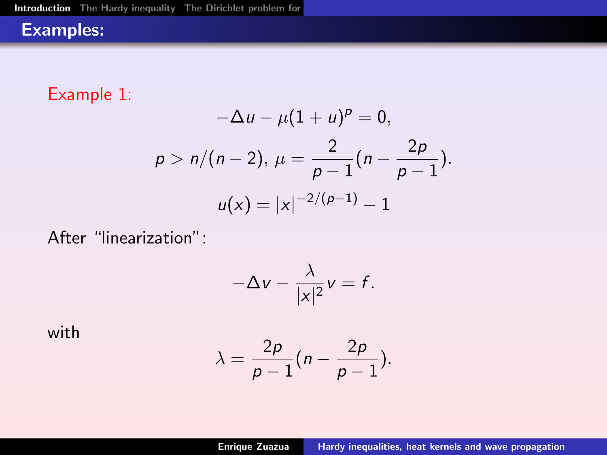# Examples:

Example 1:

$$
-\Delta u - \mu (1 + u)^p = 0,
$$
  
\n
$$
p > n/(n - 2), \ \mu = \frac{2}{p - 1}(n - \frac{2p}{p - 1}).
$$
  
\n
$$
u(x) = |x|^{-2/(p-1)} - 1
$$

After "linearization":

$$
-\Delta v - \frac{\lambda}{|x|^2}v = f.
$$

with

$$
\lambda = \frac{2p}{p-1}(n-\frac{2p}{p-1}).
$$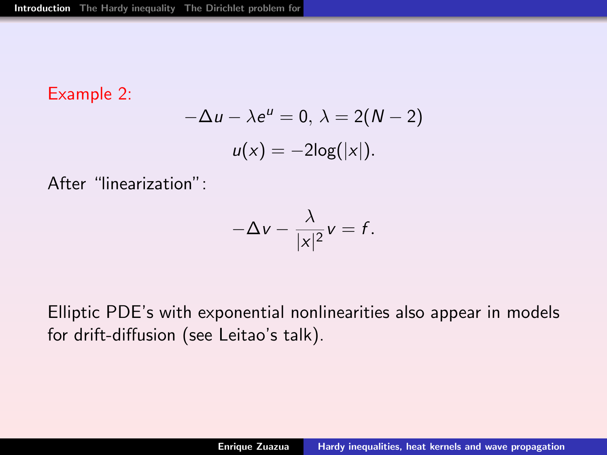#### Example 2:

$$
-\Delta u - \lambda e^{u} = 0, \ \lambda = 2(N - 2)
$$

$$
u(x) = -2\log(|x|).
$$

After "linearization":

$$
-\Delta v - \frac{\lambda}{|x|^2}v = f.
$$

Elliptic PDE's with exponential nonlinearities also appear in models for drift-diffusion (see Leitao's talk).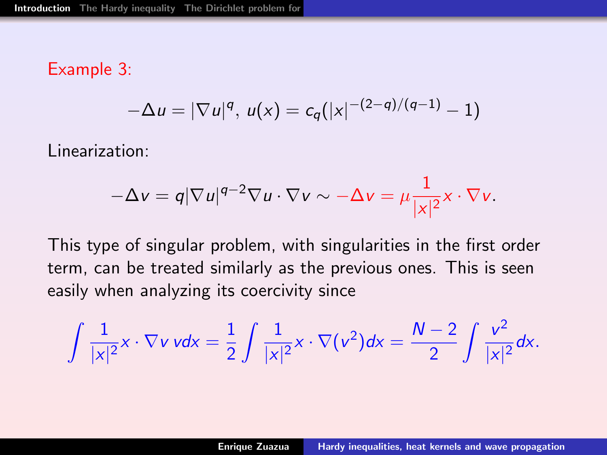#### Example 3:

$$
-\Delta u = |\nabla u|^q, u(x) = c_q(|x|^{-(2-q)/(q-1)} - 1)
$$

Linearization:

$$
-\Delta v = q |\nabla u|^{q-2} \nabla u \cdot \nabla v \sim -\Delta v = \mu \frac{1}{|x|^2} x \cdot \nabla v.
$$

This type of singular problem, with singularities in the first order term, can be treated similarly as the previous ones. This is seen easily when analyzing its coercivity since

$$
\int \frac{1}{|x|^2} x \cdot \nabla v \, v dx = \frac{1}{2} \int \frac{1}{|x|^2} x \cdot \nabla(v^2) dx = \frac{N-2}{2} \int \frac{v^2}{|x|^2} dx.
$$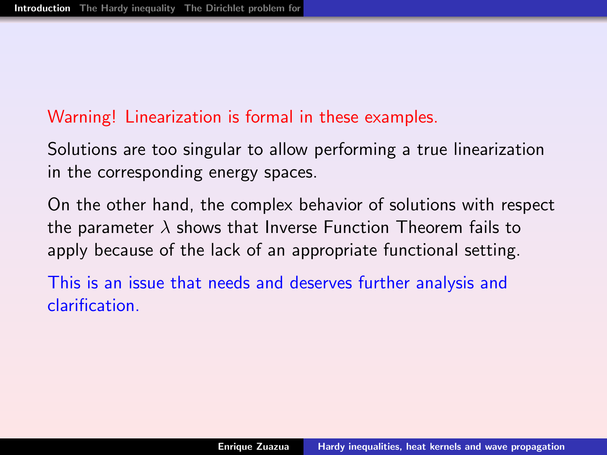#### Warning! Linearization is formal in these examples.

Solutions are too singular to allow performing a true linearization in the corresponding energy spaces.

On the other hand, the complex behavior of solutions with respect the parameter  $\lambda$  shows that Inverse Function Theorem fails to apply because of the lack of an appropriate functional setting.

This is an issue that needs and deserves further analysis and clarification.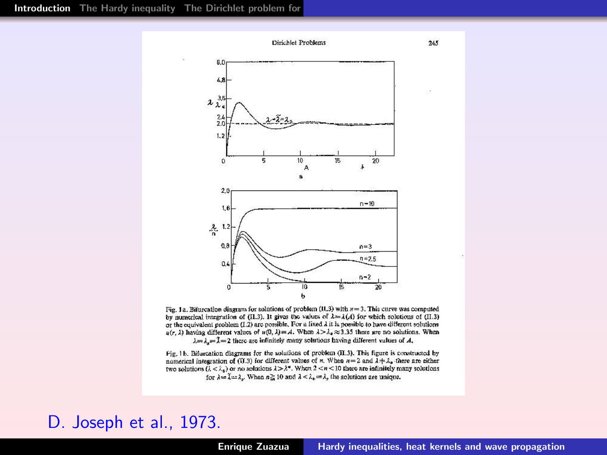

Fig. 1a. Bifurcation diagram for solutions of problem (11.3) with  $n = 3$ . This curve was computed by numerical integration of (II.3). It gives the values of  $\lambda = \lambda(A)$  for which solutions of (II.3) or the equivalent problem (1.2) arc possible. For a fixed A it is possible to have different solutions  $u(r, \lambda)$  having different values of  $u(0, \lambda) = A$ . When  $\lambda > \lambda_0 \approx 3.35$  there are no solutions. When  $\lambda = \lambda = 2$  there are infinitely many solutions having different values of A.

Fig. 1b. Bifurcation diagrams for the solutions of problem (II.3). This figure is constructed by numerical integration of (ii.3) for different values of n. When  $n=2$  and  $\lambda + \lambda_k$  there are either two solutions  $(i < \lambda_n)$  or no solutions  $1 > \lambda^n$ . When  $2 < n < 10$  there are infinitely many solutions for  $\lambda = \tilde{\lambda} - 2$ . When  $n \ge 10$  and  $\lambda < \lambda_k = \lambda$ , the solutions are unique.

#### D. Joseph et al., 1973.

 $245$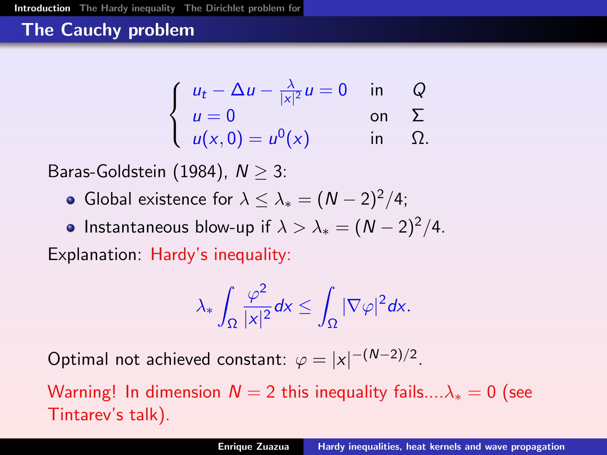# The Cauchy problem

$$
\begin{cases}\n u_t - \Delta u - \frac{\lambda}{|x|^2} u = 0 & \text{in} \quad Q \\
 u = 0 & \text{on} \quad \Sigma \\
 u(x, 0) = u^0(x) & \text{in} \quad \Omega.\n\end{cases}
$$

Baras-Goldstein (1984),  $N > 3$ :

- **•** Global existence for  $\lambda \leq \lambda_* = (N-2)^2/4$ ;
- Instantaneous blow-up if  $\lambda > \lambda_* = (N-2)^2/4$ .

Explanation: Hardy's inequality:

$$
\lambda_*\int_\Omega \frac{\varphi^2}{|x|^2}dx\leq \int_\Omega |\nabla \varphi|^2dx.
$$

Optimal not achieved constant:  $\varphi = |x|^{-(N-2)/2}$ .

Warning! In dimension  $N = 2$  this inequality fails.... $\lambda_* = 0$  (see Tintarev's talk).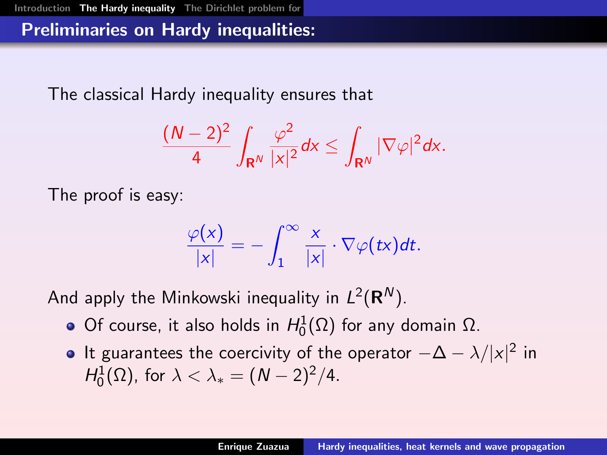# Preliminaries on Hardy inequalities:

The classical Hardy inequality ensures that

$$
\frac{(N-2)^2}{4}\int_{\mathbf{R}^N}\frac{\varphi^2}{|x|^2}dx\leq \int_{\mathbf{R}^N}|\nabla \varphi|^2dx.
$$

The proof is easy:

<span id="page-11-0"></span>
$$
\frac{\varphi(x)}{|x|} = -\int_1^\infty \frac{x}{|x|} \cdot \nabla \varphi(tx) dt.
$$

And apply the Minkowski inequality in  $L^2({\bf R}^N).$ 

- Of course, it also holds in  $H_0^1(\Omega)$  for any domain  $\Omega$ .
- It guarantees the coercivity of the operator  $-\Delta \lambda/|x|^2$  in  $H_0^1(\Omega)$ , for  $\lambda < \lambda_* = (N-2)^2/4$ .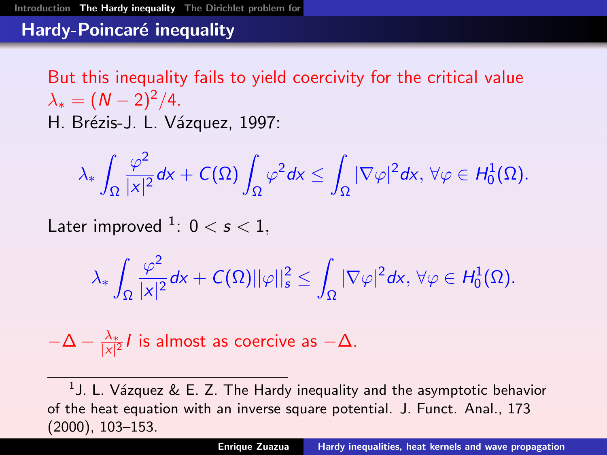### Hardy-Poincaré inequality

But this inequality fails to yield coercivity for the critical value  $\lambda_* = (N-2)^2/4.$ H. Brézis-J. L. Vázquez, 1997:

$$
\lambda_*\int_{\Omega}\frac{\varphi^2}{|x|^2}dx+C(\Omega)\int_{\Omega}\varphi^2dx\le\int_{\Omega}|\nabla\varphi|^2dx,\,\forall\varphi\in H^1_0(\Omega).
$$

Later improved  $^1: \ 0 < s < 1,$ 

$$
\lambda_* \int_{\Omega} \frac{\varphi^2}{|x|^2} d\text{x} + C(\Omega) ||\varphi||^2_{\mathfrak{s}} \leq \int_{\Omega} |\nabla \varphi|^2 d\text{x}, \, \forall \varphi \in H^1_0(\Omega).
$$

$$
-\Delta - \frac{\lambda_*}{|x|^2}I
$$
 is almost as coercive as  $-\Delta$ .

 $^1$ J. L. Vázquez & E. Z. The Hardy inequality and the asymptotic behavior of the heat equation with an inverse square potential. J. Funct. Anal., 173 (2000), 103–153.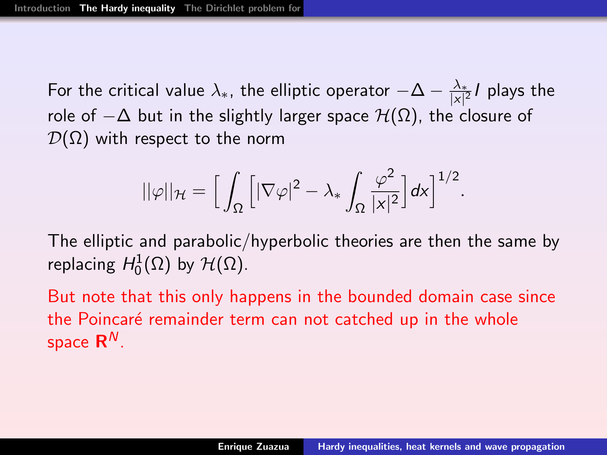For the critical value  $\lambda_*$ , the elliptic operator  $-\Delta - \frac{\lambda_*}{|X|^2}$  $\frac{\lambda_*}{|x|^2}$ / plays the role of  $-\Delta$  but in the slightly larger space  $\mathcal{H}(\Omega)$ , the closure of  $\mathcal{D}(\Omega)$  with respect to the norm

$$
||\varphi||_{\mathcal{H}} = \Big[\int_{\Omega} \Big[|\nabla \varphi|^2 - \lambda_* \int_{\Omega} \frac{\varphi^2}{|\mathsf{x}|^2}\Big] d\mathsf{x}\Big]^{1/2}.
$$

The elliptic and parabolic/hyperbolic theories are then the same by replacing  $H_0^1(\Omega)$  by  $\mathcal{H}(\Omega)$ .

But note that this only happens in the bounded domain case since the Poincaré remainder term can not catched up in the whole space  $\mathsf{R}^{\mathsf{N}}.$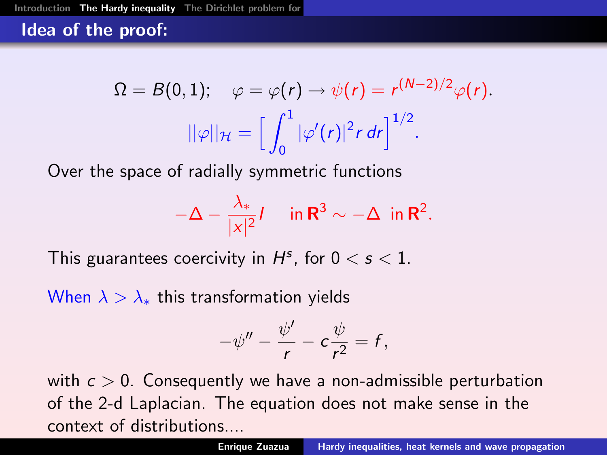### Idea of the proof:

$$
\Omega = B(0,1); \quad \varphi = \varphi(r) \rightarrow \psi(r) = r^{(N-2)/2} \varphi(r).
$$

$$
||\varphi||_{\mathcal{H}} = \left[\int_0^1 |\varphi'(r)|^2 r \, dr\right]^{1/2}.
$$

Over the space of radially symmetric functions

$$
-\Delta - \frac{\lambda_*}{|x|^2}I \quad \text{ in } \mathbf{R}^3 \sim -\Delta \text{ in } \mathbf{R}^2.
$$

This guarantees coercivity in  $H^s$ , for  $0 < s < 1$ .

When  $\lambda > \lambda_*$  this transformation yields

$$
-\psi'' - \frac{\psi'}{r} - c\frac{\psi}{r^2} = f,
$$

with  $c > 0$ . Consequently we have a non-admissible perturbation of the 2-d Laplacian. The equation does not make sense in the context of distributions....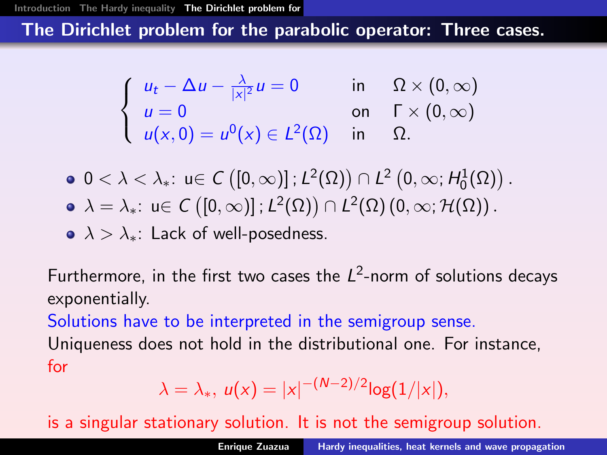### The Dirichlet problem for the parabolic operator: Three cases.

$$
\begin{cases}\n u_t - \Delta u - \frac{\lambda}{|x|^2} u = 0 & \text{in} \quad \Omega \times (0, \infty) \\
 u = 0 & \text{on} \quad \Gamma \times (0, \infty) \\
 u(x, 0) = u^0(x) \in L^2(\Omega) & \text{in} \quad \Omega.\n\end{cases}
$$

- $0 < \lambda < \lambda_*$ :  $u \in C([0,\infty)]$  ;  $L^2(\Omega)$ )  $\cap L^2(0,\infty;H^1_0(\Omega))$ .  $\lambda = \lambda_* \colon$  <code>u $\in$  C</code>  $\big( [0,\infty) ]$  ;  $\mathcal{L}^2(\Omega) \big)\cap \mathcal{L}^2(\Omega)$   $(0,\infty;\mathcal{H}(\Omega))$  .
- $\lambda > \lambda_{*}$ : Lack of well-posedness.

Furthermore, in the first two cases the  $L^2$ -norm of solutions decays exponentially.

Solutions have to be interpreted in the semigroup sense.

Uniqueness does not hold in the distributional one. For instance, for

<span id="page-15-0"></span>
$$
\lambda = \lambda_*, \ u(x) = |x|^{-(N-2)/2} \log(1/|x|),
$$

is a singular stationary solution. It is not the semigroup solution.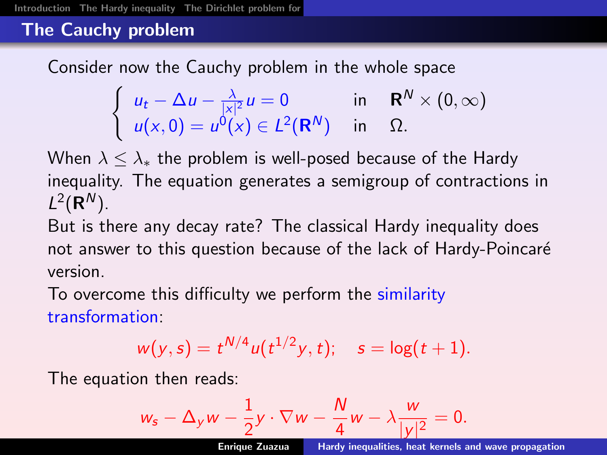# The Cauchy problem

Consider now the Cauchy problem in the whole space

$$
\begin{cases}\n u_t - \Delta u - \frac{\lambda}{|x|^2} u = 0 & \text{in} \quad \mathbf{R}^N \times (0, \infty) \\
 u(x, 0) = u^0(x) \in L^2(\mathbf{R}^N) & \text{in} \quad \Omega.\n\end{cases}
$$

When  $\lambda \leq \lambda_*$  the problem is well-posed because of the Hardy inequality. The equation generates a semigroup of contractions in  $L^2(\mathbf{R}^N)$ .

But is there any decay rate? The classical Hardy inequality does not answer to this question because of the lack of Hardy-Poincaré version.

To overcome this difficulty we perform the similarity transformation:

$$
w(y,s) = t^{N/4} u(t^{1/2}y,t); \quad s = \log(t+1).
$$

The equation then reads:

<span id="page-16-0"></span>
$$
w_s - \Delta_y w - \frac{1}{2}y \cdot \nabla w - \frac{N}{4}w - \lambda \frac{w}{|y|^2} = 0.
$$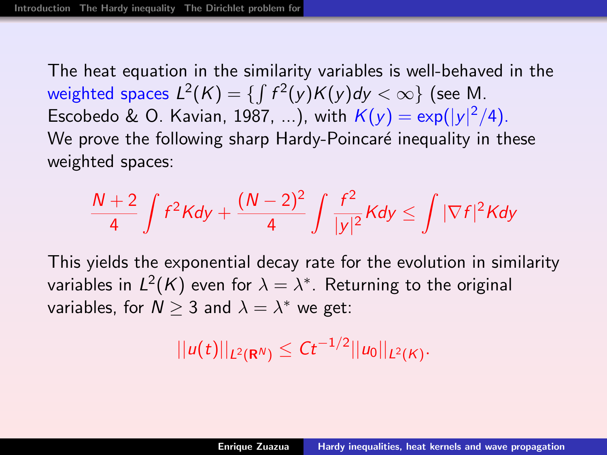The heat equation in the similarity variables is well-behaved in the weighted spaces  $L^2(K)=\{\int f^2(y)K(y)dy<\infty\}$  (see M. Escobedo & O. Kavian, 1987, ...), with  $K(y) = \exp(|y|^2/4)$ . We prove the following sharp Hardy-Poincaré inequality in these weighted spaces:

$$
\frac{N+2}{4}\int f^2Kdy+\frac{(N-2)^2}{4}\int\frac{f^2}{|y|^2}Kdy\leq \int |\nabla f|^2Kdy
$$

This yields the exponential decay rate for the evolution in similarity variables in  $L^2(\mathcal{K})$  even for  $\lambda=\lambda^*$ . Returning to the original variables, for  $N\geq 3$  and  $\lambda=\lambda^*$  we get:

$$
||u(t)||_{L^2(\mathbf{R}^N)} \leq Ct^{-1/2}||u_0||_{L^2(K)}.
$$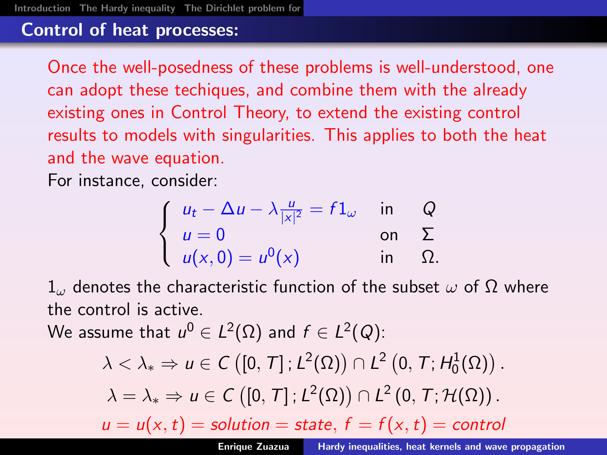# Control of heat processes:

Once the well-posedness of these problems is well-understood, one can adopt these techiques, and combine them with the already existing ones in Control Theory, to extend the existing control results to models with singularities. This applies to both the heat and the wave equation.

For instance, consider:

$$
\begin{cases}\n u_t - \Delta u - \lambda \frac{u}{|x|^2} = f1_\omega & \text{in} \quad Q \\
 u = 0 & \text{on} \quad \Sigma \\
 u(x, 0) = u^0(x) & \text{in} \quad \Omega.\n\end{cases}
$$

 $1<sub>ω</sub>$  denotes the characteristic function of the subset  $ω$  of  $Ω$  where the control is active.

We assume that  $u^0\in L^2(\Omega)$  and  $f\in L^2(Q)$ :

<span id="page-18-0"></span>
$$
\lambda < \lambda_* \Rightarrow u \in C([0, T]; L^2(\Omega)) \cap L^2(0, T; H_0^1(\Omega)).
$$
\n
$$
\lambda = \lambda_* \Rightarrow u \in C([0, T]; L^2(\Omega)) \cap L^2(0, T; H_0^1(\Omega)).
$$
\n
$$
u = u(x, t) = \text{solution} = \text{state}, \, f = f(x, t) = \text{control}
$$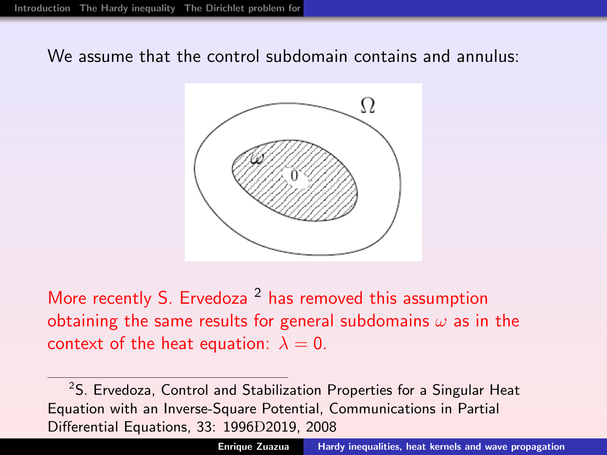We assume that the control subdomain contains and annulus:



More recently S. Ervedoza<sup>2</sup> has removed this assumption obtaining the same results for general subdomains  $\omega$  as in the context of the heat equation:  $\lambda = 0$ .

<sup>2</sup>S. Ervedoza, Control and Stabilization Properties for a Singular Heat Equation with an Inverse-Square Potential, Communications in Partial Differential Equations, 33: 1996D2019, 2008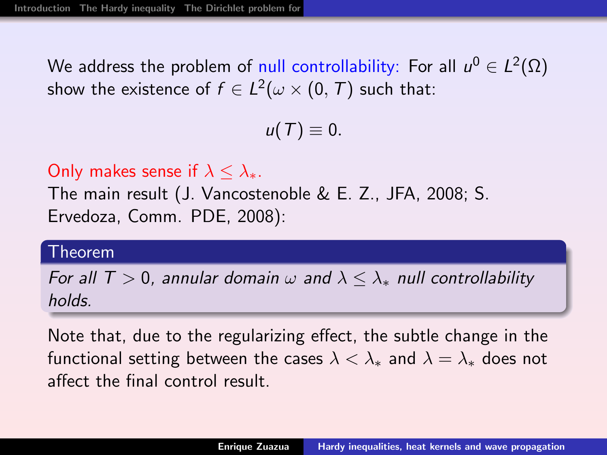We address the problem of null controllability: For all  $\mathbf{\mathit{u}}^{0}\in L^{2}(\Omega)$ show the existence of  $f\in L^2(\omega\times (0,\,T)$  such that:

 $u(T) \equiv 0.$ 

Only makes sense if  $\lambda < \lambda_*$ .

The main result (J. Vancostenoble & E. Z., JFA, 2008; S. Ervedoza, Comm. PDE, 2008):

#### Theorem

For all  $T > 0$ , annular domain  $\omega$  and  $\lambda \leq \lambda_{*}$  null controllability holds.

Note that, due to the regularizing effect, the subtle change in the functional setting between the cases  $\lambda < \lambda_*$  and  $\lambda = \lambda_*$  does not affect the final control result.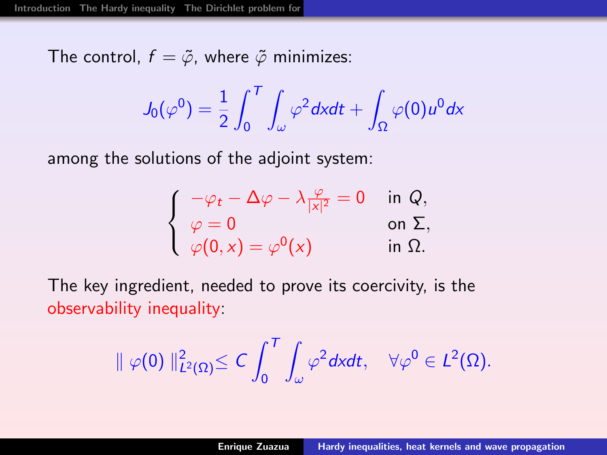The control,  $f = \tilde{\varphi}$ , where  $\tilde{\varphi}$  minimizes:

$$
J_0(\varphi^0) = \frac{1}{2} \int_0^T \int_\omega \varphi^2 dx dt + \int_\Omega \varphi(0) u^0 dx
$$

among the solutions of the adjoint system:

$$
\begin{cases}\n-\varphi_t - \Delta \varphi - \lambda \frac{\varphi}{|x|^2} = 0 & \text{in } Q, \\
\varphi = 0 & \text{on } \Sigma, \\
\varphi(0, x) = \varphi^0(x) & \text{in } \Omega.\n\end{cases}
$$

The key ingredient, needed to prove its coercivity, is the observability inequality:

$$
\|\varphi(0)\|_{L^2(\Omega)}^2\leq C\int_0^T\int_\omega\varphi^2dxdt,\quad \forall \varphi^0\in L^2(\Omega).
$$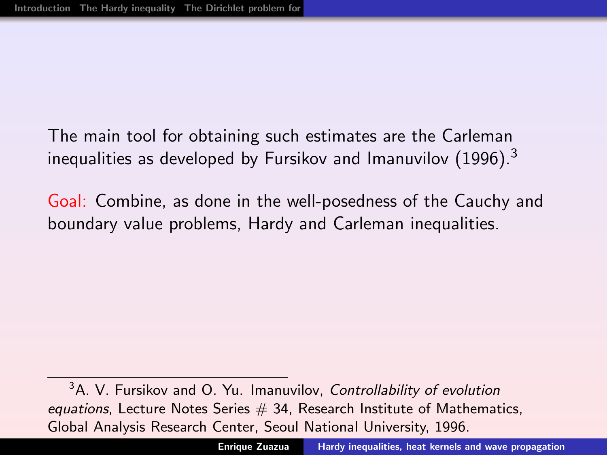The main tool for obtaining such estimates are the Carleman inequalities as developed by Fursikov and Imanuvilov  $(1996)^3$ 

Goal: Combine, as done in the well-posedness of the Cauchy and boundary value problems, Hardy and Carleman inequalities.

<sup>3</sup>A. V. Fursikov and O. Yu. Imanuvilov, Controllability of evolution equations, Lecture Notes Series  $# 34$ , Research Institute of Mathematics, Global Analysis Research Center, Seoul National University, 1996.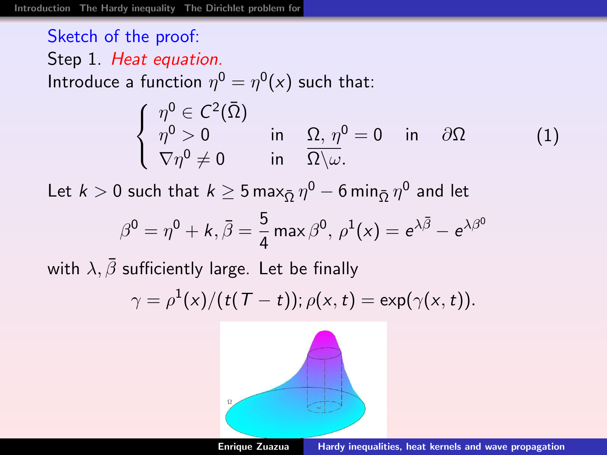#### Sketch of the proof: Step 1. Heat equation. Introduce a function  $\eta^0 = \eta^0(x)$  such that:  $\sqrt{ }$  $\overline{I}$  $\mathcal{L}$  $\eta^{\mathsf{0}}\in\mathcal{C}^2(\bar{\Omega})$  $\eta^0 > 0$  in  $\Omega, \ \eta^0 = 0$  in  $\partial \Omega$  $\nabla \eta^0 \neq 0$  in  $\overline{\Omega \setminus \omega}$ . (1)

Let  $k>0$  such that  $k\geq 5$  max $_{\bar{\Omega}}\, \eta^0-6\,$ min $_{\bar{\Omega}}\, \eta^0$  and let

$$
\beta^0 = \eta^0 + k, \bar{\beta} = \frac{5}{4} \max \beta^0, \ \rho^1(x) = e^{\lambda \bar{\beta}} - e^{\lambda \beta^0}
$$

with  $\lambda, \bar{\beta}$  sufficiently large. Let be finally

$$
\gamma = \rho^{1}(x)/(t(T-t)); \rho(x,t) = \exp(\gamma(x,t)).
$$

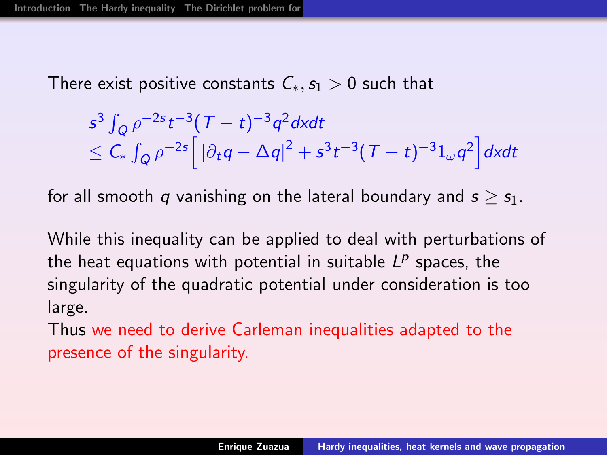There exist positive constants  $C_*, s_1 > 0$  such that

$$
s^3 \int_Q \rho^{-2s} t^{-3} (T-t)^{-3} q^2 dx dt
$$
  
\$\leq C\_\* \int\_Q \rho^{-2s} [|\partial\_t q - \Delta q|^2 + s^3 t^{-3} (T-t)^{-3} 1\_{\omega} q^2] dx dt\$

for all smooth q vanishing on the lateral boundary and  $s > s<sub>1</sub>$ .

While this inequality can be applied to deal with perturbations of the heat equations with potential in suitable  $L^p$  spaces, the singularity of the quadratic potential under consideration is too large.

Thus we need to derive Carleman inequalities adapted to the presence of the singularity.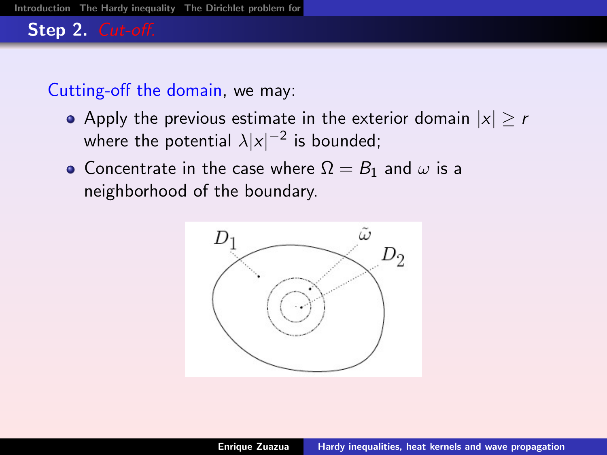# Step 2. Cut-off.

# Cutting-off the domain, we may:

- Apply the previous estimate in the exterior domain  $|x| > r$ where the potential  $\lambda |x|^{-2}$  is bounded;
- Concentrate in the case where  $\Omega = B_1$  and  $\omega$  is a neighborhood of the boundary.

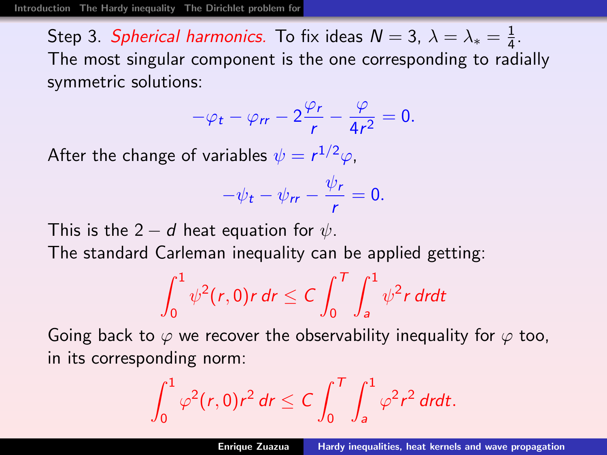Step 3. *Spherical harmonics*. To fix ideas  $\mathcal{N}=3, \ \lambda=\lambda_*=\frac{1}{4}$  $\frac{1}{4}$ . The most singular component is the one corresponding to radially symmetric solutions:

$$
-\varphi_t - \varphi_{rr} - 2\frac{\varphi_r}{r} - \frac{\varphi}{4r^2} = 0.
$$

After the change of variables  $\psi=r^{1/2}\varphi$ ,

$$
-\psi_t - \psi_{rr} - \frac{\psi_r}{r} = 0.
$$

This is the 2  $-$  d heat equation for  $\psi$ . The standard Carleman inequality can be applied getting:

$$
\int_0^1 \psi^2(r,0)r\,dr\leq C\int_0^T\int_a^1 \psi^2r\,drdt
$$

Going back to  $\varphi$  we recover the observability inequality for  $\varphi$  too, in its corresponding norm:

$$
\int_0^1 \varphi^2(r,0)r^2 dr \leq C \int_0^T \int_a^1 \varphi^2 r^2 dr dt.
$$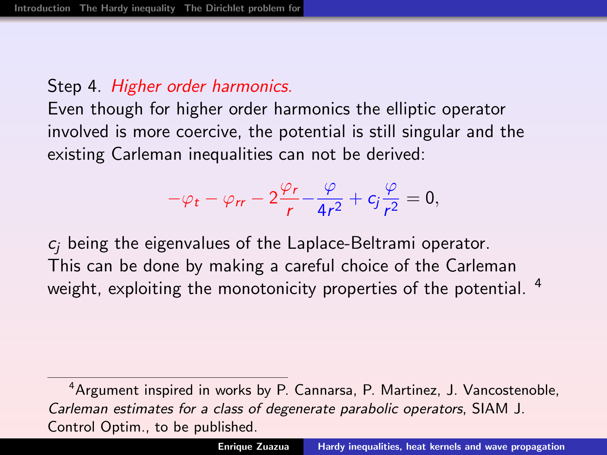# Step 4. Higher order harmonics.

Even though for higher order harmonics the elliptic operator involved is more coercive, the potential is still singular and the existing Carleman inequalities can not be derived:

$$
-\varphi_t - \varphi_{rr} - 2\frac{\varphi_r}{r} - \frac{\varphi}{4r^2} + c_j \frac{\varphi}{r^2} = 0,
$$

 $c_i$  being the eigenvalues of the Laplace-Beltrami operator. This can be done by making a careful choice of the Carleman weight, exploiting the monotonicity properties of the potential. <sup>4</sup>

<sup>4</sup>Argument inspired in works by P. Cannarsa, P. Martinez, J. Vancostenoble, Carleman estimates for a class of degenerate parabolic operators, SIAM J. Control Optim., to be published.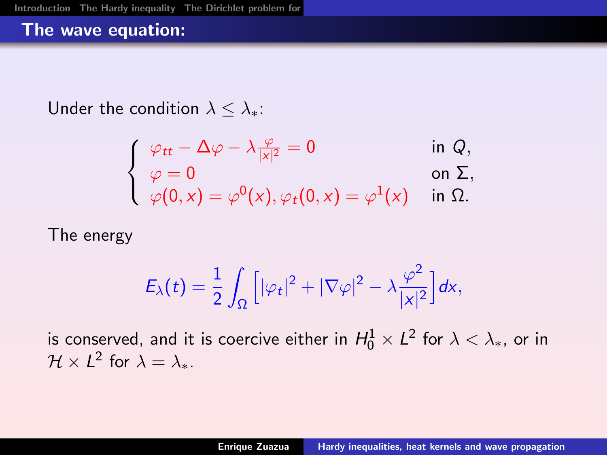#### The wave equation:

Under the condition  $\lambda < \lambda_*$ :

$$
\begin{cases}\n\varphi_{tt} - \Delta \varphi - \lambda \frac{\varphi}{|x|^2} = 0 & \text{in } Q, \\
\varphi = 0 & \text{on } \Sigma, \\
\varphi(0, x) = \varphi^0(x), \varphi_t(0, x) = \varphi^1(x) & \text{in } \Omega.\n\end{cases}
$$

The energy

<span id="page-28-0"></span>
$$
E_{\lambda}(t)=\frac{1}{2}\int_{\Omega}\Big[|\varphi_{t}|^{2}+|\nabla\varphi|^{2}-\lambda\frac{\varphi^{2}}{|x|^{2}}\Big]dx,
$$

is conserved, and it is coercive either in  $H_0^1\times L^2$  for  $\lambda<\lambda_*$ , or in  $\mathcal{H} \times L^2$  for  $\lambda = \lambda_*$ .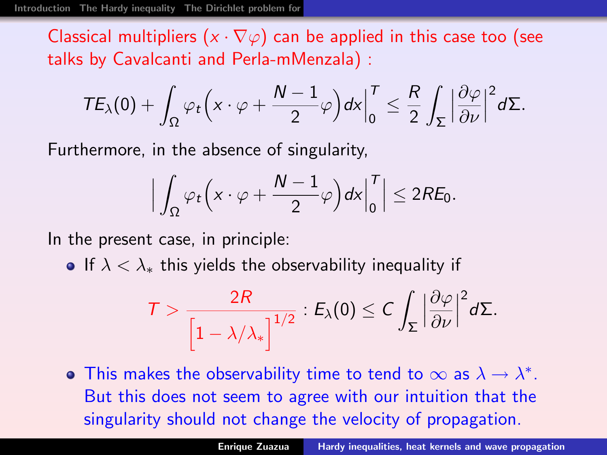Classical multipliers  $(x \cdot \nabla \varphi)$  can be applied in this case too (see talks by Cavalcanti and Perla-mMenzala) :

$$
TE_{\lambda}(0)+\int_{\Omega}\varphi_t\Big(x\cdot\varphi+\frac{N-1}{2}\varphi\Big)dx\Big|_0^T\leq \frac{R}{2}\int_{\Sigma}\Big|\frac{\partial\varphi}{\partial\nu}\Big|^2d\Sigma.
$$

Furthermore, in the absence of singularity,

$$
\Big|\int_{\Omega}\varphi_t\Big(x\cdot\varphi+\frac{N-1}{2}\varphi\Big)dx\Big|_0^T\Big|\leq 2R\mathcal{E}_0.
$$

In the present case, in principle:

• If  $\lambda < \lambda_*$  this yields the observability inequality if

$$
\mathcal{T} > \frac{2R}{\left[1 - \lambda/\lambda_*\right]^{1/2}} : E_{\lambda}(0) \leq C \int_{\Sigma} \left|\frac{\partial \varphi}{\partial \nu}\right|^2 d\Sigma.
$$

This makes the observability time to tend to  $\infty$  as  $\lambda \to \lambda^*$ . But this does not seem to agree with our intuition that the singularity should not change the velocity of propagation.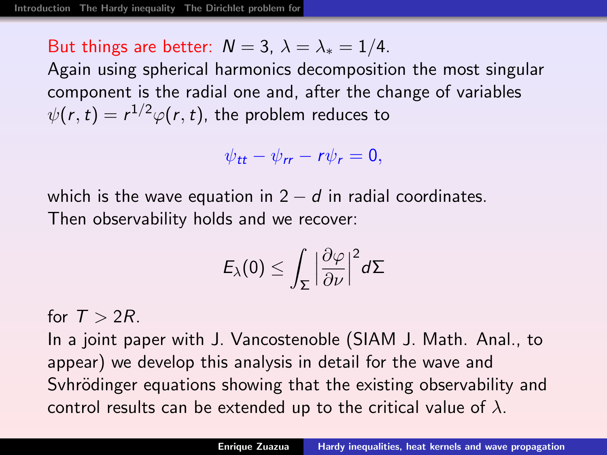But things are better:  $N = 3$ ,  $\lambda = \lambda_* = 1/4$ .

Again using spherical harmonics decomposition the most singular component is the radial one and, after the change of variables  $\psi(r,t)=r^{1/2}\varphi(r,t)$ , the problem reduces to

 $\psi_{tt} - \psi_{rr} - r\psi_r = 0,$ 

which is the wave equation in  $2 - d$  in radial coordinates. Then observability holds and we recover:

$$
E_{\lambda}(0) \leq \int_{\Sigma} \Big|\frac{\partial \varphi}{\partial \nu}\Big|^2 d\Sigma
$$

for  $T > 2R$ .

In a joint paper with J. Vancostenoble (SIAM J. Math. Anal., to appear) we develop this analysis in detail for the wave and Syhrödinger equations showing that the existing observability and control results can be extended up to the critical value of  $\lambda$ .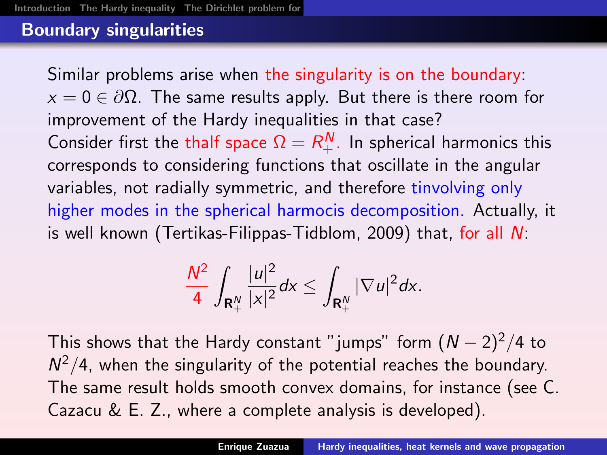# Boundary singularities

Similar problems arise when the singularity is on the boundary:  $x = 0 \in \partial\Omega$ . The same results apply. But there is there room for improvement of the Hardy inequalities in that case? Consider first the thalf space  $\Omega = R_+^N$ . In spherical harmonics this corresponds to considering functions that oscillate in the angular variables, not radially symmetric, and therefore tinvolving only higher modes in the spherical harmocis decomposition. Actually, it is well known (Tertikas-Filippas-Tidblom, 2009) that, for all N:

<span id="page-31-0"></span>
$$
\frac{N^2}{4}\int_{\mathbf{R}^N_+} \frac{|u|^2}{|x|^2} dx \leq \int_{\mathbf{R}^N_+} |\nabla u|^2 dx.
$$

This shows that the Hardy constant "jumps" form  $(N-2)^2/4$  to  $N^2/4$ , when the singularity of the potential reaches the boundary. The same result holds smooth convex domains, for instance (see C. Cazacu & E. Z., where a complete analysis is developed).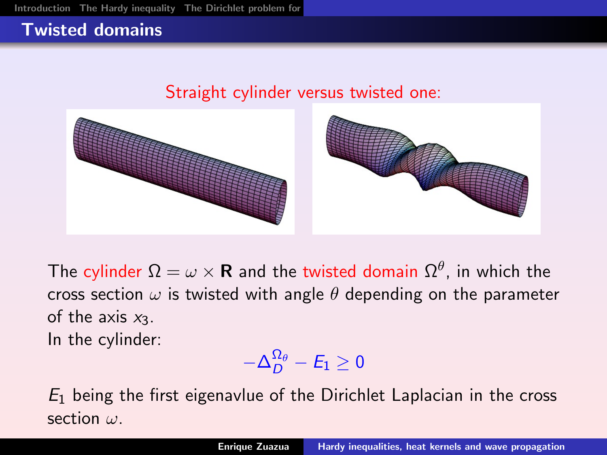# Twisted domains

#### Straight cylinder versus twisted one:



The cylinder  $\Omega = \omega \times {\bold R}$  and the twisted domain  $\Omega^{\theta}$ , in which the cross section  $\omega$  is twisted with angle  $\theta$  depending on the parameter of the axis  $x_3$ . In the cylinder:

<span id="page-32-0"></span>
$$
-\Delta_D^{\Omega_\theta}-E_1\geq 0
$$

 $E_1$  being the first eigenavlue of the Dirichlet Laplacian in the cross section ω.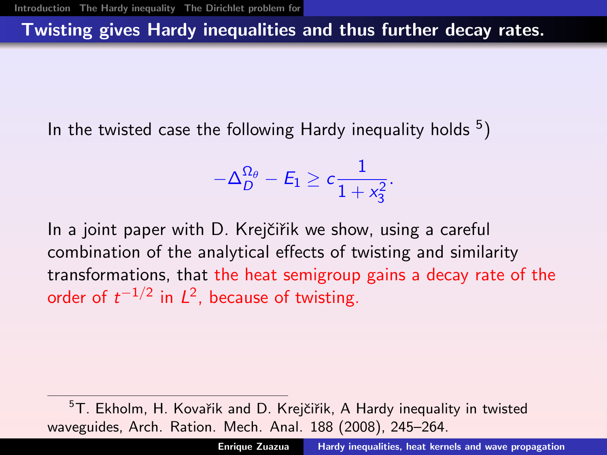# Twisting gives Hardy inequalities and thus further decay rates.

In the twisted case the following Hardy inequality holds  $5)$ 

$$
-\Delta_D^{\Omega_\theta}-E_1\geq c\frac{1}{1+x_3^2}.
$$

In a joint paper with D. Krejčiřik we show, using a careful combination of the analytical effects of twisting and similarity transformations, that the heat semigroup gains a decay rate of the order of  $t^{-1/2}$  in  $L^2$ , because of twisting.

 $5T$ . Ekholm, H. Kovařik and D. Krejčiřik, A Hardy inequality in twisted waveguides, Arch. Ration. Mech. Anal. 188 (2008), 245–264.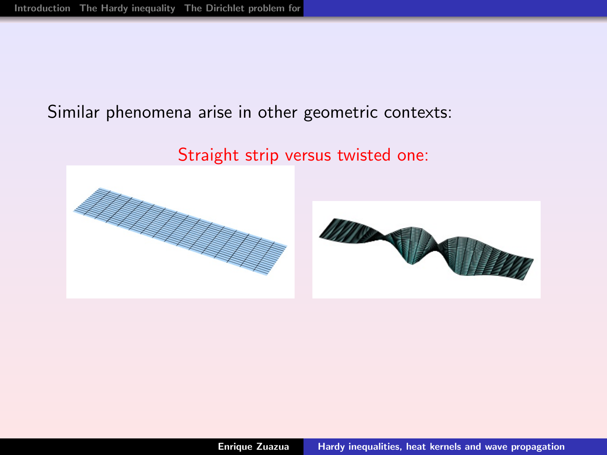#### Similar phenomena arise in other geometric contexts:

Straight strip versus twisted one:

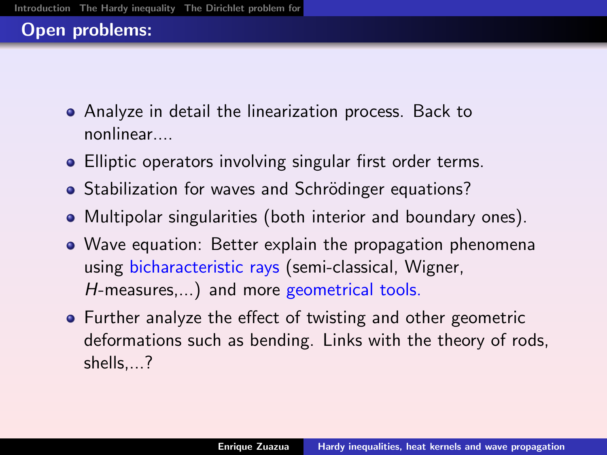# Open problems:

- Analyze in detail the linearization process. Back to nonlinear....
- Elliptic operators involving singular first order terms.
- Stabilization for waves and Schrödinger equations?
- Multipolar singularities (both interior and boundary ones).
- Wave equation: Better explain the propagation phenomena using bicharacteristic rays (semi-classical, Wigner, H-measures,...) and more geometrical tools.
- <span id="page-35-0"></span>Further analyze the effect of twisting and other geometric deformations such as bending. Links with the theory of rods, shells,...?